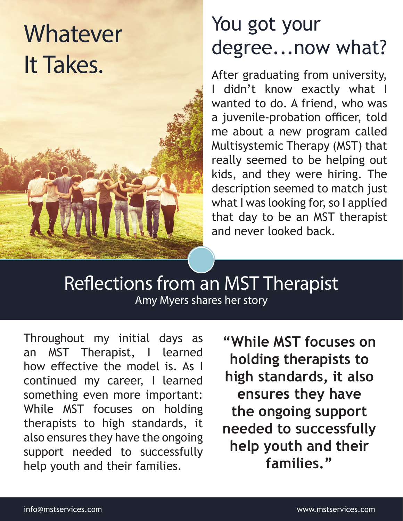## Whatever It Takes.

## You got your degree...now what?

After graduating from university, I didn't know exactly what I wanted to do. A friend, who was a juvenile-probation officer, told me about a new program called Multisystemic Therapy (MST) that really seemed to be helping out kids, and they were hiring. The description seemed to match just what I was looking for, so I applied that day to be an MST therapist and never looked back.

Reflections from an MST Therapist Amy Myers shares her story

Throughout my initial days as an MST Therapist, I learned how effective the model is. As I continued my career, I learned something even more important: While MST focuses on holding therapists to high standards, it also ensures they have the ongoing support needed to successfully help youth and their families.

**"While MST focuses on holding therapists to high standards, it also ensures they have the ongoing support needed to successfully help youth and their families."**